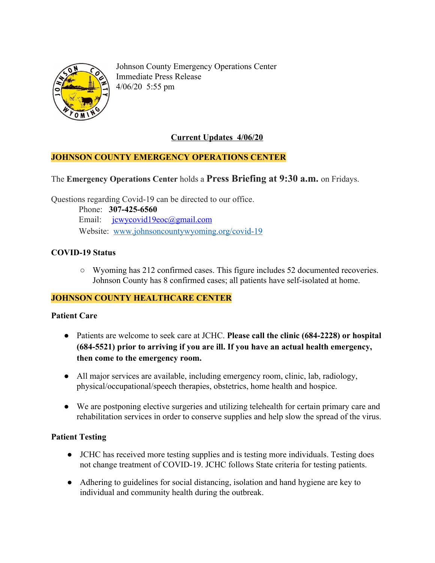

Johnson County Emergency Operations Center Immediate Press Release 4/06/20 5:55 pm

# **Current Updates 4/06/20**

# **JOHNSON COUNTY EMERGENCY OPERATIONS CENTER**

# The **Emergency Operations Center** holds a **Press Briefing at 9:30 a.m.** on Fridays.

Questions regarding Covid-19 can be directed to our office.

 Phone: **307-425-6560** Email: [jcwycovid19eoc@gmail.com](mailto:jcwycovid19eoc@gmail.com) Website: [www.johnsoncountywyoming.org/covid-19](http://www.johnsoncountywyoming.org/covid-19)

# **COVID-19 Status**

**○** Wyoming has 212 confirmed cases. This figure includes 52 documented recoveries. Johnson County has 8 confirmed cases; all patients have self-isolated at home.

# **JOHNSON COUNTY HEALTHCARE CENTER**

# **Patient Care**

- Patients are welcome to seek care at JCHC. **Please call the clinic (684-2228) or hospital (684-5521) prior to arriving if you are ill. If you have an actual health emergency, then come to the emergency room.**
- All major services are available, including emergency room, clinic, lab, radiology, physical/occupational/speech therapies, obstetrics, home health and hospice.
- We are postponing elective surgeries and utilizing telehealth for certain primary care and rehabilitation services in order to conserve supplies and help slow the spread of the virus.

# **Patient Testing**

- **●** JCHC has received more testing supplies and is testing more individuals. Testing does not change treatment of COVID-19. JCHC follows State criteria for testing patients.
- **●** Adhering to guidelines for social distancing, isolation and hand hygiene are key to individual and community health during the outbreak.